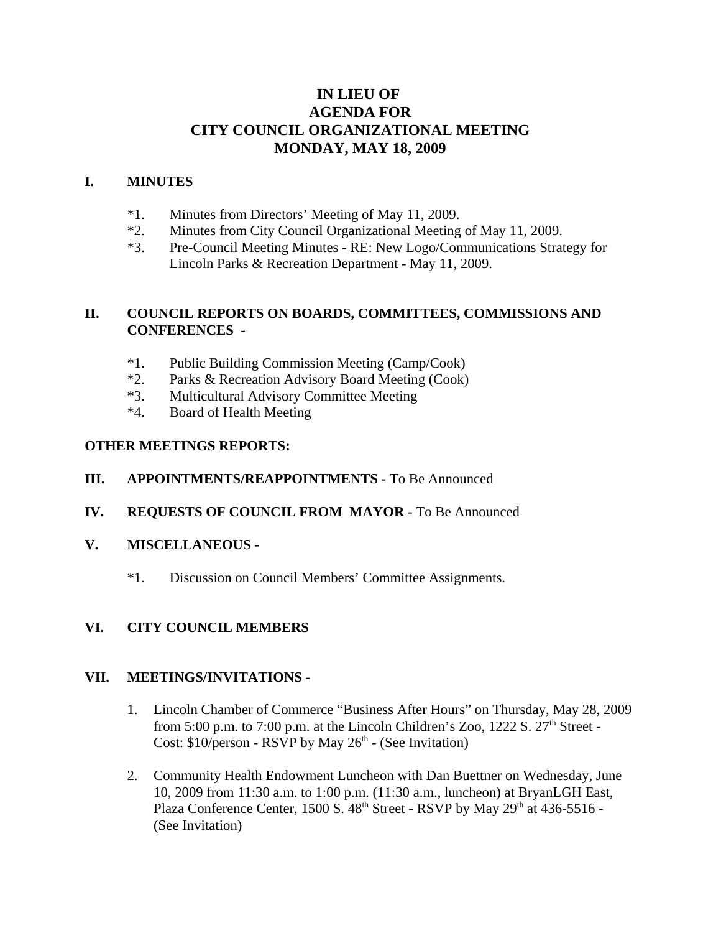# **IN LIEU OF AGENDA FOR CITY COUNCIL ORGANIZATIONAL MEETING MONDAY, MAY 18, 2009**

#### **I. MINUTES**

- \*1. Minutes from Directors' Meeting of May 11, 2009.
- \*2. Minutes from City Council Organizational Meeting of May 11, 2009.
- \*3. Pre-Council Meeting Minutes RE: New Logo/Communications Strategy for Lincoln Parks & Recreation Department - May 11, 2009.

### **II. COUNCIL REPORTS ON BOARDS, COMMITTEES, COMMISSIONS AND CONFERENCES** -

- \*1. Public Building Commission Meeting (Camp/Cook)
- \*2. Parks & Recreation Advisory Board Meeting (Cook)
- \*3. Multicultural Advisory Committee Meeting
- \*4. Board of Health Meeting

### **OTHER MEETINGS REPORTS:**

#### **III. APPOINTMENTS/REAPPOINTMENTS -** To Be Announced

**IV. REQUESTS OF COUNCIL FROM MAYOR -** To Be Announced

#### **V. MISCELLANEOUS -**

\*1. Discussion on Council Members' Committee Assignments.

## **VI. CITY COUNCIL MEMBERS**

#### **VII. MEETINGS/INVITATIONS -**

- 1. Lincoln Chamber of Commerce "Business After Hours" on Thursday, May 28, 2009 from 5:00 p.m. to 7:00 p.m. at the Lincoln Children's Zoo,  $1222$  S.  $27<sup>th</sup>$  Street -Cost:  $$10/person - RSVP$  by May  $26<sup>th</sup> - (See Invitation)$
- 2. Community Health Endowment Luncheon with Dan Buettner on Wednesday, June 10, 2009 from 11:30 a.m. to 1:00 p.m. (11:30 a.m., luncheon) at BryanLGH East, Plaza Conference Center, 1500 S. 48<sup>th</sup> Street - RSVP by May 29<sup>th</sup> at 436-5516 -(See Invitation)